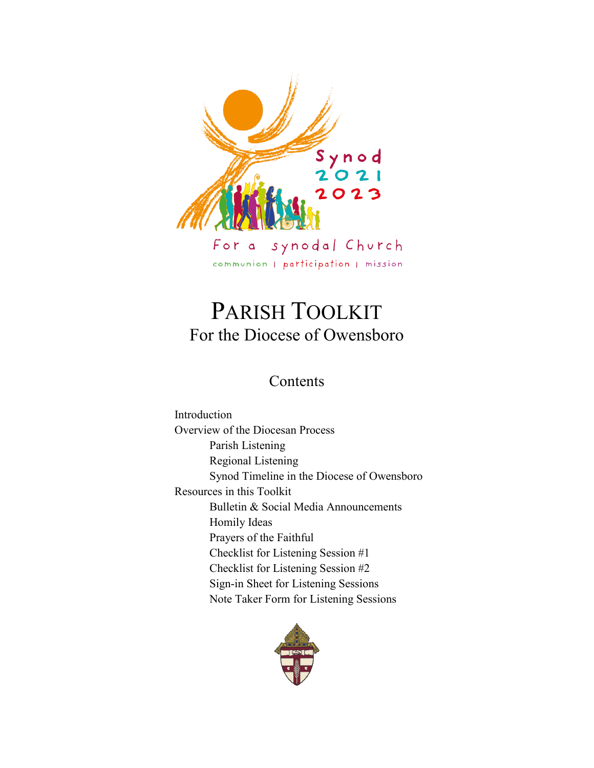

# PARISH TOOLKIT For the Diocese of Owensboro

### Contents

Introduction Overview of the Diocesan Process Parish Listening Regional Listening Synod Timeline in the Diocese of Owensboro Resources in this Toolkit Bulletin & Social Media Announcements Homily Ideas Prayers of the Faithful Checklist for Listening Session #1 Checklist for Listening Session #2 Sign-in Sheet for Listening Sessions Note Taker Form for Listening Sessions

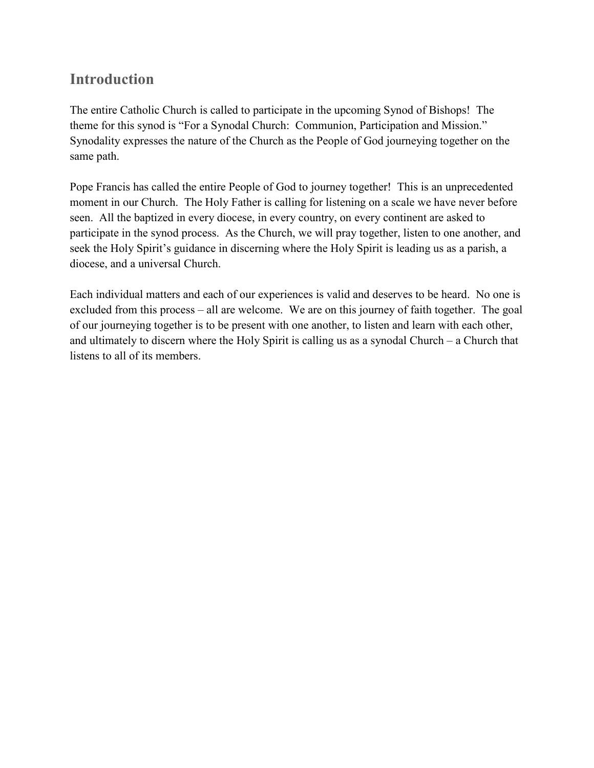# **Introduction**

The entire Catholic Church is called to participate in the upcoming Synod of Bishops! The theme for this synod is "For a Synodal Church: Communion, Participation and Mission." Synodality expresses the nature of the Church as the People of God journeying together on the same path.

Pope Francis has called the entire People of God to journey together! This is an unprecedented moment in our Church. The Holy Father is calling for listening on a scale we have never before seen. All the baptized in every diocese, in every country, on every continent are asked to participate in the synod process. As the Church, we will pray together, listen to one another, and seek the Holy Spirit's guidance in discerning where the Holy Spirit is leading us as a parish, a diocese, and a universal Church.

Each individual matters and each of our experiences is valid and deserves to be heard. No one is excluded from this process – all are welcome. We are on this journey of faith together. The goal of our journeying together is to be present with one another, to listen and learn with each other, and ultimately to discern where the Holy Spirit is calling us as a synodal Church – a Church that listens to all of its members.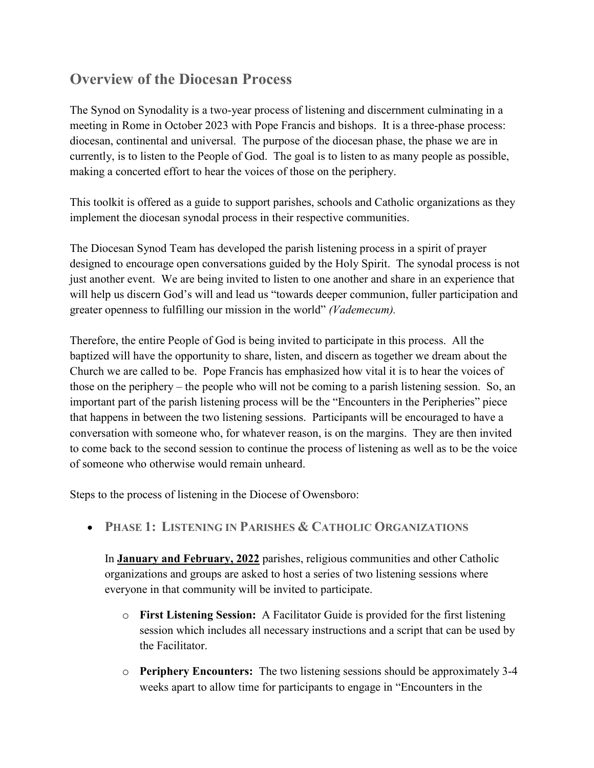# **Overview of the Diocesan Process**

The Synod on Synodality is a two-year process of listening and discernment culminating in a meeting in Rome in October 2023 with Pope Francis and bishops. It is a three-phase process: diocesan, continental and universal. The purpose of the diocesan phase, the phase we are in currently, is to listen to the People of God. The goal is to listen to as many people as possible, making a concerted effort to hear the voices of those on the periphery.

This toolkit is offered as a guide to support parishes, schools and Catholic organizations as they implement the diocesan synodal process in their respective communities.

The Diocesan Synod Team has developed the parish listening process in a spirit of prayer designed to encourage open conversations guided by the Holy Spirit. The synodal process is not just another event. We are being invited to listen to one another and share in an experience that will help us discern God's will and lead us "towards deeper communion, fuller participation and greater openness to fulfilling our mission in the world" *(Vademecum).*

Therefore, the entire People of God is being invited to participate in this process. All the baptized will have the opportunity to share, listen, and discern as together we dream about the Church we are called to be. Pope Francis has emphasized how vital it is to hear the voices of those on the periphery – the people who will not be coming to a parish listening session. So, an important part of the parish listening process will be the "Encounters in the Peripheries" piece that happens in between the two listening sessions. Participants will be encouraged to have a conversation with someone who, for whatever reason, is on the margins. They are then invited to come back to the second session to continue the process of listening as well as to be the voice of someone who otherwise would remain unheard.

Steps to the process of listening in the Diocese of Owensboro:

• **PHASE 1: LISTENING IN PARISHES & CATHOLIC ORGANIZATIONS**

In **January and February, 2022** parishes, religious communities and other Catholic organizations and groups are asked to host a series of two listening sessions where everyone in that community will be invited to participate.

- o **First Listening Session:** A Facilitator Guide is provided for the first listening session which includes all necessary instructions and a script that can be used by the Facilitator.
- o **Periphery Encounters:** The two listening sessions should be approximately 3-4 weeks apart to allow time for participants to engage in "Encounters in the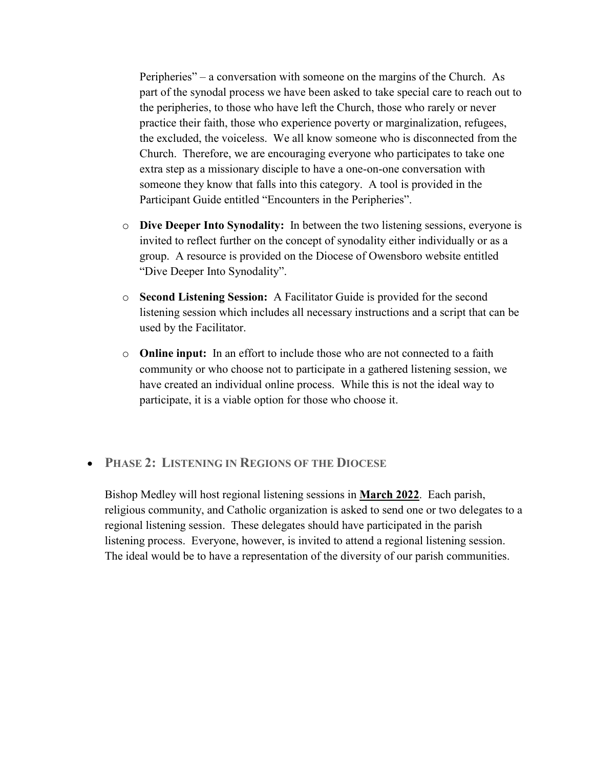Peripheries" – a conversation with someone on the margins of the Church. As part of the synodal process we have been asked to take special care to reach out to the peripheries, to those who have left the Church, those who rarely or never practice their faith, those who experience poverty or marginalization, refugees, the excluded, the voiceless. We all know someone who is disconnected from the Church. Therefore, we are encouraging everyone who participates to take one extra step as a missionary disciple to have a one-on-one conversation with someone they know that falls into this category. A tool is provided in the Participant Guide entitled "Encounters in the Peripheries".

- o **Dive Deeper Into Synodality:** In between the two listening sessions, everyone is invited to reflect further on the concept of synodality either individually or as a group. A resource is provided on the Diocese of Owensboro website entitled "Dive Deeper Into Synodality".
- o **Second Listening Session:** A Facilitator Guide is provided for the second listening session which includes all necessary instructions and a script that can be used by the Facilitator.
- o **Online input:** In an effort to include those who are not connected to a faith community or who choose not to participate in a gathered listening session, we have created an individual online process. While this is not the ideal way to participate, it is a viable option for those who choose it.

#### • **PHASE 2: LISTENING IN REGIONS OF THE DIOCESE**

Bishop Medley will host regional listening sessions in **March 2022**. Each parish, religious community, and Catholic organization is asked to send one or two delegates to a regional listening session. These delegates should have participated in the parish listening process. Everyone, however, is invited to attend a regional listening session. The ideal would be to have a representation of the diversity of our parish communities.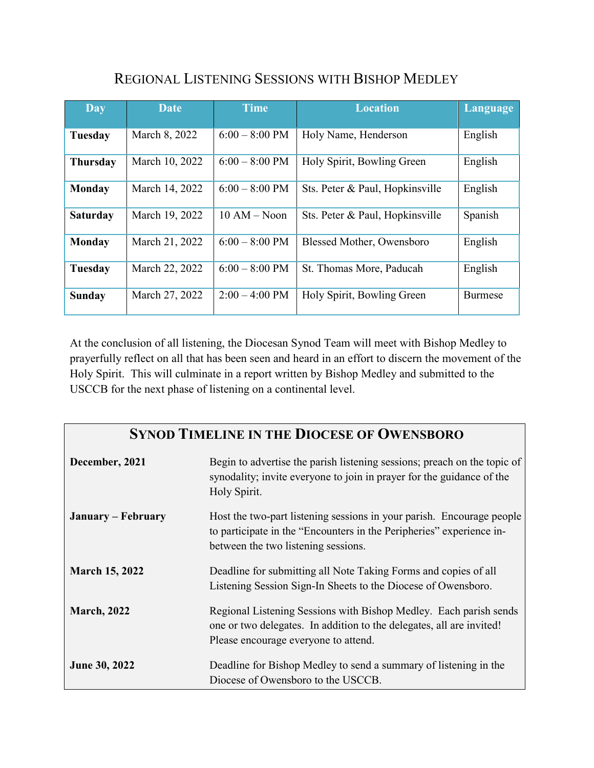| <b>Day</b>                                           | Date                                                      | <b>Time</b>              | <b>Location</b>                  | Language       |
|------------------------------------------------------|-----------------------------------------------------------|--------------------------|----------------------------------|----------------|
| Tuesday                                              | March 8, 2022<br>$6:00 - 8:00$ PM<br>Holy Name, Henderson |                          | English                          |                |
| <b>Thursday</b>                                      | March 10, 2022                                            | $6:00 - 8:00$ PM         | Holy Spirit, Bowling Green       | English        |
| <b>Monday</b>                                        | March 14, 2022                                            | $6:00 - 8:00$ PM         | Sts. Peter & Paul, Hopkinsville  | English        |
| March 19, 2022<br><b>Saturday</b>                    |                                                           | $10 AM - Noon$           | Sts. Peter & Paul, Hopkinsville  | Spanish        |
| <b>Monday</b>                                        | March 21, 2022                                            | $6:00 - 8:00$ PM         | <b>Blessed Mother, Owensboro</b> | English        |
| March 22, 2022<br>$6:00 - 8:00$ PM<br><b>Tuesday</b> |                                                           | St. Thomas More, Paducah | English                          |                |
| <b>Sunday</b>                                        | March 27, 2022                                            | $2:00 - 4:00 \text{ PM}$ | Holy Spirit, Bowling Green       | <b>Burmese</b> |

# REGIONAL LISTENING SESSIONS WITH BISHOP MEDLEY

At the conclusion of all listening, the Diocesan Synod Team will meet with Bishop Medley to prayerfully reflect on all that has been seen and heard in an effort to discern the movement of the Holy Spirit. This will culminate in a report written by Bishop Medley and submitted to the USCCB for the next phase of listening on a continental level.

### **SYNOD TIMELINE IN THE DIOCESE OF OWENSBORO**

| December, 2021        | Begin to advertise the parish listening sessions; preach on the topic of<br>synodality; invite everyone to join in prayer for the guidance of the<br>Holy Spirit.                    |  |  |
|-----------------------|--------------------------------------------------------------------------------------------------------------------------------------------------------------------------------------|--|--|
| January – February    | Host the two-part listening sessions in your parish. Encourage people<br>to participate in the "Encounters in the Peripheries" experience in-<br>between the two listening sessions. |  |  |
| <b>March 15, 2022</b> | Deadline for submitting all Note Taking Forms and copies of all<br>Listening Session Sign-In Sheets to the Diocese of Owensboro.                                                     |  |  |
| <b>March, 2022</b>    | Regional Listening Sessions with Bishop Medley. Each parish sends<br>one or two delegates. In addition to the delegates, all are invited!<br>Please encourage everyone to attend.    |  |  |
| <b>June 30, 2022</b>  | Deadline for Bishop Medley to send a summary of listening in the<br>Diocese of Owensboro to the USCCB.                                                                               |  |  |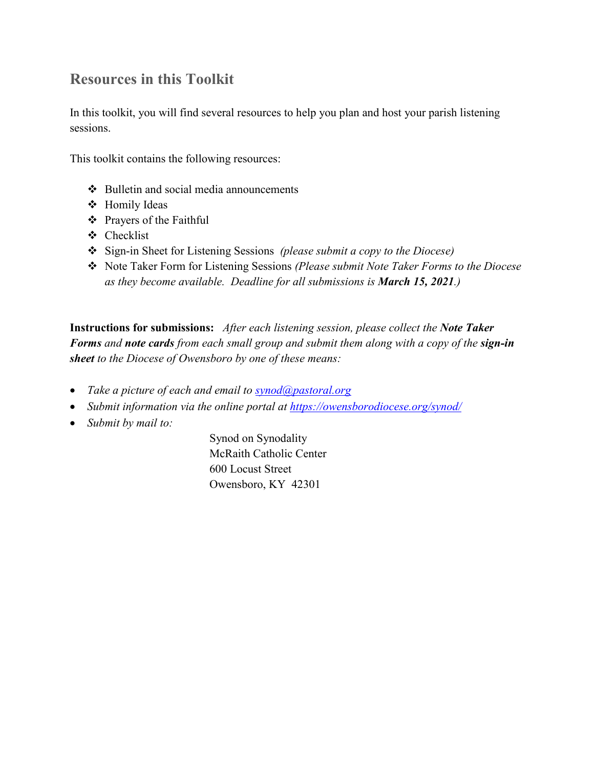# **Resources in this Toolkit**

In this toolkit, you will find several resources to help you plan and host your parish listening sessions.

This toolkit contains the following resources:

- $\triangle$  Bulletin and social media announcements
- Homily Ideas
- Prayers of the Faithful
- Checklist
- Sign-in Sheet for Listening Sessions *(please submit a copy to the Diocese)*
- Note Taker Form for Listening Sessions *(Please submit Note Taker Forms to the Diocese as they become available. Deadline for all submissions is March 15, 2021.)*

**Instructions for submissions:** *After each listening session, please collect the Note Taker Forms and note cards from each small group and submit them along with a copy of the sign-in sheet to the Diocese of Owensboro by one of these means:*

- *Take a picture of each and email to [synod@pastoral.org](mailto:synod@pastoral.org)*
- *Submit information via the online portal at<https://owensborodiocese.org/synod/>*
- *Submit by mail to:*

Synod on Synodality McRaith Catholic Center 600 Locust Street Owensboro, KY 42301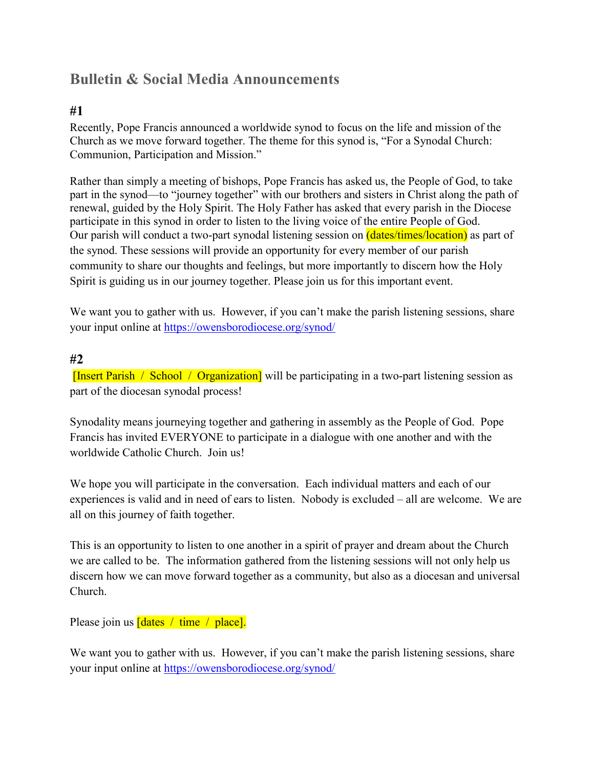# **Bulletin & Social Media Announcements**

#### **#1**

Recently, Pope Francis announced a worldwide synod to focus on the life and mission of the Church as we move forward together. The theme for this synod is, "For a Synodal Church: Communion, Participation and Mission."

Rather than simply a meeting of bishops, Pope Francis has asked us, the People of God, to take part in the synod—to "journey together" with our brothers and sisters in Christ along the path of renewal, guided by the Holy Spirit. The Holy Father has asked that every parish in the Diocese participate in this synod in order to listen to the living voice of the entire People of God. Our parish will conduct a two-part synodal listening session on *(dates/times/location)* as part of the synod. These sessions will provide an opportunity for every member of our parish community to share our thoughts and feelings, but more importantly to discern how the Holy Spirit is guiding us in our journey together. Please join us for this important event.

We want you to gather with us. However, if you can't make the parish listening sessions, share your input online at<https://owensborodiocese.org/synod/>

#### **#2**

[Insert Parish / School / Organization] will be participating in a two-part listening session as part of the diocesan synodal process!

Synodality means journeying together and gathering in assembly as the People of God. Pope Francis has invited EVERYONE to participate in a dialogue with one another and with the worldwide Catholic Church. Join us!

We hope you will participate in the conversation. Each individual matters and each of our experiences is valid and in need of ears to listen. Nobody is excluded – all are welcome. We are all on this journey of faith together.

This is an opportunity to listen to one another in a spirit of prayer and dream about the Church we are called to be. The information gathered from the listening sessions will not only help us discern how we can move forward together as a community, but also as a diocesan and universal Church.

Please join us  $[$ dates / time / place].

We want you to gather with us. However, if you can't make the parish listening sessions, share your input online at<https://owensborodiocese.org/synod/>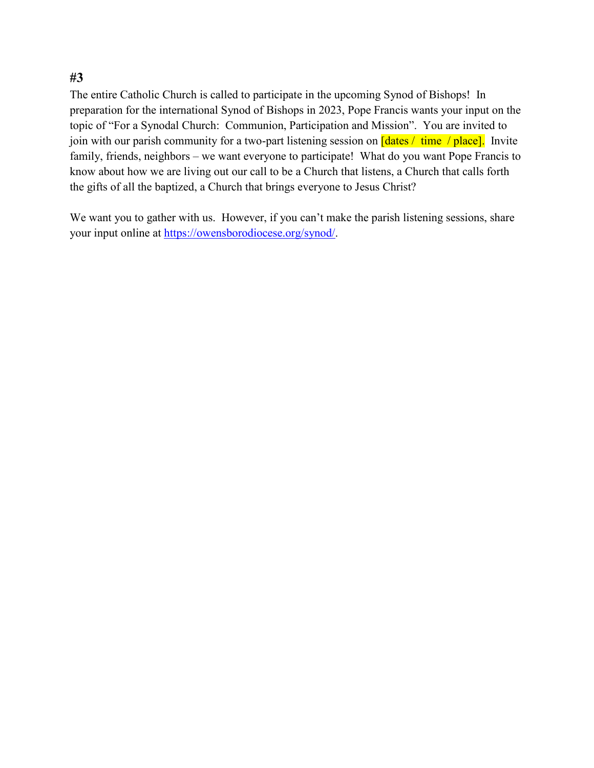#### **#3**

The entire Catholic Church is called to participate in the upcoming Synod of Bishops! In preparation for the international Synod of Bishops in 2023, Pope Francis wants your input on the topic of "For a Synodal Church: Communion, Participation and Mission". You are invited to join with our parish community for a two-part listening session on  $\frac{\text{Idates}}{\text{Idates}}/ \text{time } / \text{place}$ . Invite family, friends, neighbors – we want everyone to participate! What do you want Pope Francis to know about how we are living out our call to be a Church that listens, a Church that calls forth the gifts of all the baptized, a Church that brings everyone to Jesus Christ?

We want you to gather with us. However, if you can't make the parish listening sessions, share your input online at [https://owensborodiocese.org/synod/.](https://owensborodiocese.org/synod/)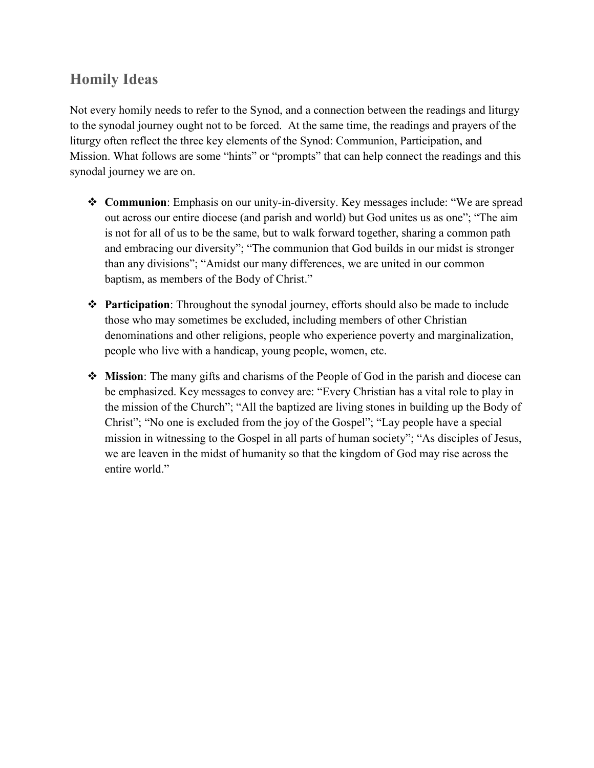# **Homily Ideas**

Not every homily needs to refer to the Synod, and a connection between the readings and liturgy to the synodal journey ought not to be forced. At the same time, the readings and prayers of the liturgy often reflect the three key elements of the Synod: Communion, Participation, and Mission. What follows are some "hints" or "prompts" that can help connect the readings and this synodal journey we are on.

- **Communion**: Emphasis on our unity-in-diversity. Key messages include: "We are spread out across our entire diocese (and parish and world) but God unites us as one"; "The aim is not for all of us to be the same, but to walk forward together, sharing a common path and embracing our diversity"; "The communion that God builds in our midst is stronger than any divisions"; "Amidst our many differences, we are united in our common baptism, as members of the Body of Christ."
- **Participation**: Throughout the synodal journey, efforts should also be made to include those who may sometimes be excluded, including members of other Christian denominations and other religions, people who experience poverty and marginalization, people who live with a handicap, young people, women, etc.
- **Mission**: The many gifts and charisms of the People of God in the parish and diocese can be emphasized. Key messages to convey are: "Every Christian has a vital role to play in the mission of the Church"; "All the baptized are living stones in building up the Body of Christ"; "No one is excluded from the joy of the Gospel"; "Lay people have a special mission in witnessing to the Gospel in all parts of human society"; "As disciples of Jesus, we are leaven in the midst of humanity so that the kingdom of God may rise across the entire world."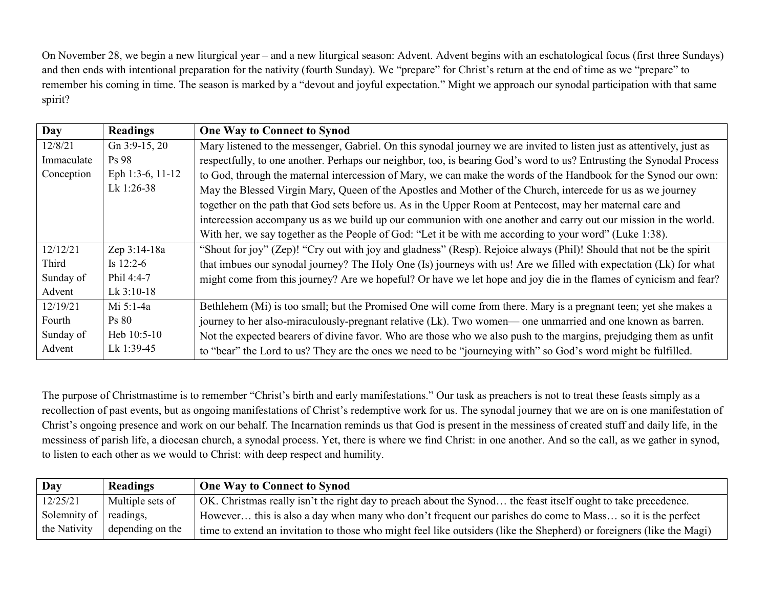On November 28, we begin a new liturgical year – and a new liturgical season: Advent. Advent begins with an eschatological focus (first three Sundays) and then ends with intentional preparation for the nativity (fourth Sunday). We "prepare" for Christ's return at the end of time as we "prepare" to remember his coming in time. The season is marked by a "devout and joyful expectation." Might we approach our synodal participation with that same spirit?

| Day        | <b>Readings</b>  | <b>One Way to Connect to Synod</b>                                                                                     |
|------------|------------------|------------------------------------------------------------------------------------------------------------------------|
| 12/8/21    | Gn $3:9-15, 20$  | Mary listened to the messenger, Gabriel. On this synodal journey we are invited to listen just as attentively, just as |
| Immaculate | Ps 98            | respectfully, to one another. Perhaps our neighbor, too, is bearing God's word to us? Entrusting the Synodal Process   |
| Conception | Eph 1:3-6, 11-12 | to God, through the maternal intercession of Mary, we can make the words of the Handbook for the Synod our own:        |
|            | Lk 1:26-38       | May the Blessed Virgin Mary, Queen of the Apostles and Mother of the Church, intercede for us as we journey            |
|            |                  | together on the path that God sets before us. As in the Upper Room at Pentecost, may her maternal care and             |
|            |                  | intercession accompany us as we build up our communion with one another and carry out our mission in the world.        |
|            |                  | With her, we say together as the People of God: "Let it be with me according to your word" (Luke 1:38).                |
| 12/12/21   | Zep 3:14-18a     | "Shout for joy" (Zep)! "Cry out with joy and gladness" (Resp). Rejoice always (Phil)! Should that not be the spirit    |
| Third      | Is $12:2-6$      | that imbues our synodal journey? The Holy One (Is) journeys with us! Are we filled with expectation (Lk) for what      |
| Sunday of  | Phil 4:4-7       | might come from this journey? Are we hopeful? Or have we let hope and joy die in the flames of cynicism and fear?      |
| Advent     | Lk 3:10-18       |                                                                                                                        |
| 12/19/21   | Mi 5:1-4a        | Bethlehem (Mi) is too small; but the Promised One will come from there. Mary is a pregnant teen; yet she makes a       |
| Fourth     | <b>Ps</b> 80     | journey to her also-miraculously-pregnant relative (Lk). Two women— one unmarried and one known as barren.             |
| Sunday of  | Heb 10:5-10      | Not the expected bearers of divine favor. Who are those who we also push to the margins, prejudging them as unfit      |
| Advent     | Lk 1:39-45       | to "bear" the Lord to us? They are the ones we need to be "journeying with" so God's word might be fulfilled.          |

The purpose of Christmastime is to remember "Christ's birth and early manifestations." Our task as preachers is not to treat these feasts simply as a recollection of past events, but as ongoing manifestations of Christ's redemptive work for us. The synodal journey that we are on is one manifestation of Christ's ongoing presence and work on our behalf. The Incarnation reminds us that God is present in the messiness of created stuff and daily life, in the messiness of parish life, a diocesan church, a synodal process. Yet, there is where we find Christ: in one another. And so the call, as we gather in synod, to listen to each other as we would to Christ: with deep respect and humility.

| Day                    | <b>Readings</b>  | <b>One Way to Connect to Synod</b>                                                                                    |
|------------------------|------------------|-----------------------------------------------------------------------------------------------------------------------|
| 12/25/21               | Multiple sets of | OK. Christmas really isn't the right day to preach about the Synod the feast itself ought to take precedence.         |
| Solemnity of readings, |                  | However this is also a day when many who don't frequent our parishes do come to Mass so it is the perfect             |
| the Nativity           | depending on the | time to extend an invitation to those who might feel like outsiders (like the Shepherd) or foreigners (like the Magi) |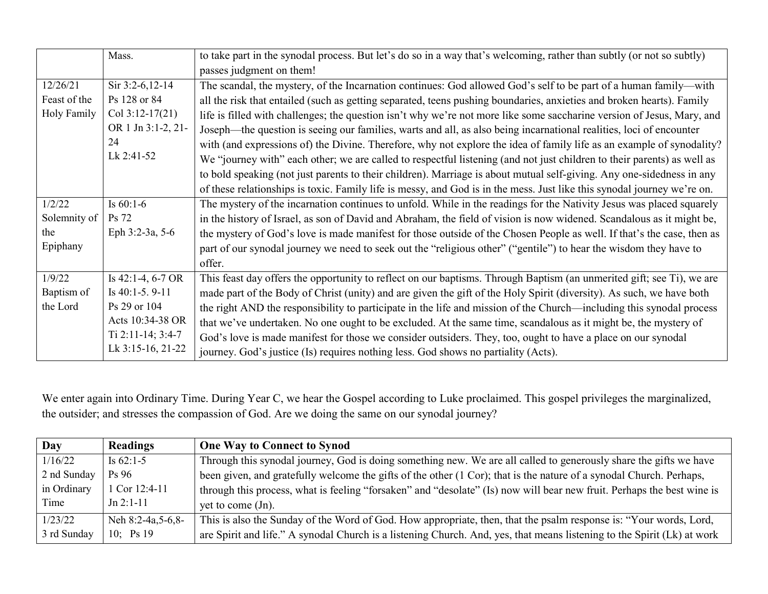|                    | Mass.                  | to take part in the synodal process. But let's do so in a way that's welcoming, rather than subtly (or not so subtly)   |  |  |  |
|--------------------|------------------------|-------------------------------------------------------------------------------------------------------------------------|--|--|--|
|                    |                        | passes judgment on them!                                                                                                |  |  |  |
| 12/26/21           | Sir 3:2-6,12-14        | The scandal, the mystery, of the Incarnation continues: God allowed God's self to be part of a human family—with        |  |  |  |
| Feast of the       | Ps 128 or 84           | all the risk that entailed (such as getting separated, teens pushing boundaries, anxieties and broken hearts). Family   |  |  |  |
| <b>Holy Family</b> | Col $3:12-17(21)$      | life is filled with challenges; the question isn't why we're not more like some saccharine version of Jesus, Mary, and  |  |  |  |
|                    | OR 1 Jn 3:1-2, 21-     | Joseph—the question is seeing our families, warts and all, as also being incarnational realities, loci of encounter     |  |  |  |
|                    | 24                     | with (and expressions of) the Divine. Therefore, why not explore the idea of family life as an example of synodality?   |  |  |  |
|                    | Lk 2:41-52             | We "journey with" each other; we are called to respectful listening (and not just children to their parents) as well as |  |  |  |
|                    |                        | to bold speaking (not just parents to their children). Marriage is about mutual self-giving. Any one-sidedness in any   |  |  |  |
|                    |                        | of these relationships is toxic. Family life is messy, and God is in the mess. Just like this synodal journey we're on. |  |  |  |
| 1/2/22             | Is $60:1-6$            | The mystery of the incarnation continues to unfold. While in the readings for the Nativity Jesus was placed squarely    |  |  |  |
| Solemnity of       | <b>Ps</b> 72           | in the history of Israel, as son of David and Abraham, the field of vision is now widened. Scandalous as it might be,   |  |  |  |
| the                | Eph 3:2-3a, 5-6        | the mystery of God's love is made manifest for those outside of the Chosen People as well. If that's the case, then as  |  |  |  |
| Epiphany           |                        | part of our synodal journey we need to seek out the "religious other" ("gentile") to hear the wisdom they have to       |  |  |  |
|                    |                        | offer.                                                                                                                  |  |  |  |
| 1/9/22             | Is $42:1-4, 6-7$ OR    | This feast day offers the opportunity to reflect on our baptisms. Through Baptism (an unmerited gift; see Ti), we are   |  |  |  |
| Baptism of         | Is $40:1-5.9-11$       | made part of the Body of Christ (unity) and are given the gift of the Holy Spirit (diversity). As such, we have both    |  |  |  |
| the Lord           | Ps 29 or 104           | the right AND the responsibility to participate in the life and mission of the Church—including this synodal process    |  |  |  |
|                    | Acts 10:34-38 OR       | that we've undertaken. No one ought to be excluded. At the same time, scandalous as it might be, the mystery of         |  |  |  |
|                    | Ti $2:11-14$ ; $3:4-7$ | God's love is made manifest for those we consider outsiders. They, too, ought to have a place on our synodal            |  |  |  |
|                    | Lk 3:15-16, 21-22      | journey. God's justice (Is) requires nothing less. God shows no partiality (Acts).                                      |  |  |  |

We enter again into Ordinary Time. During Year C, we hear the Gospel according to Luke proclaimed. This gospel privileges the marginalized, the outsider; and stresses the compassion of God. Are we doing the same on our synodal journey?

| Day         | <b>Readings</b>   | <b>One Way to Connect to Synod</b>                                                                                      |
|-------------|-------------------|-------------------------------------------------------------------------------------------------------------------------|
| 1/16/22     | Is $62:1-5$       | Through this synodal journey, God is doing something new. We are all called to generously share the gifts we have       |
| 2 nd Sunday | P <sub>s</sub> 96 | been given, and gratefully welcome the gifts of the other (1 Cor); that is the nature of a synodal Church. Perhaps,     |
| in Ordinary | 1 Cor 12:4-11     | through this process, what is feeling "forsaken" and "desolate" (Is) now will bear new fruit. Perhaps the best wine is  |
| Time        | $Jn 2:1-11$       | yet to come $J_n$ .                                                                                                     |
| 1/23/22     | Neh 8:2-4a,5-6,8- | This is also the Sunday of the Word of God. How appropriate, then, that the psalm response is: "Your words, Lord,       |
| 3 rd Sunday | 10; $Ps19$        | are Spirit and life." A synodal Church is a listening Church. And, yes, that means listening to the Spirit (Lk) at work |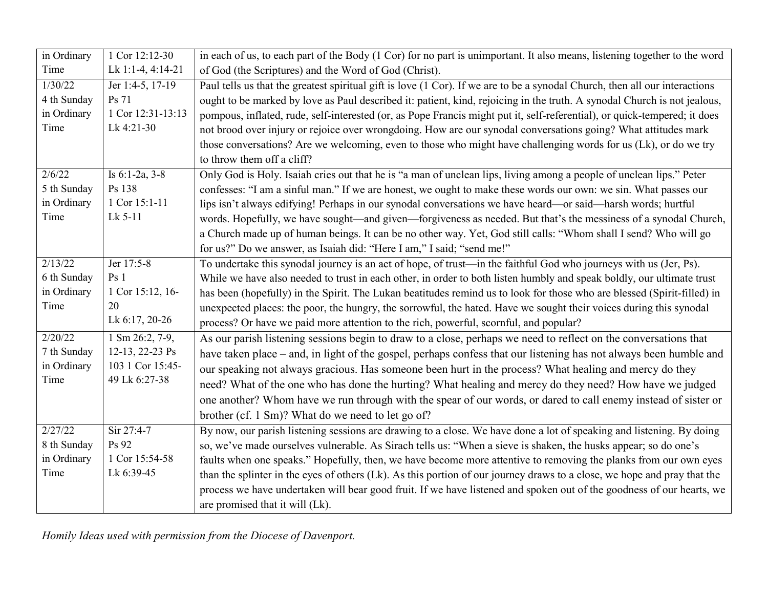| in Ordinary | 1 Cor 12:12-30             | in each of us, to each part of the Body (1 Cor) for no part is unimportant. It also means, listening together to the word   |
|-------------|----------------------------|-----------------------------------------------------------------------------------------------------------------------------|
| Time        | Lk 1:1-4, 4:14-21          | of God (the Scriptures) and the Word of God (Christ).                                                                       |
| 1/30/22     | Jer 1:4-5, 17-19           | Paul tells us that the greatest spiritual gift is love (1 Cor). If we are to be a synodal Church, then all our interactions |
| 4 th Sunday | Ps 71                      | ought to be marked by love as Paul described it: patient, kind, rejoicing in the truth. A synodal Church is not jealous,    |
| in Ordinary | 1 Cor 12:31-13:13          | pompous, inflated, rude, self-interested (or, as Pope Francis might put it, self-referential), or quick-tempered; it does   |
| Time        | Lk 4:21-30                 | not brood over injury or rejoice over wrongdoing. How are our synodal conversations going? What attitudes mark              |
|             |                            | those conversations? Are we welcoming, even to those who might have challenging words for us (Lk), or do we try             |
|             |                            | to throw them off a cliff?                                                                                                  |
| 2/6/22      | Is $6:1-2a$ , $3-8$        | Only God is Holy. Isaiah cries out that he is "a man of unclean lips, living among a people of unclean lips." Peter         |
| 5 th Sunday | Ps 138                     | confesses: "I am a sinful man." If we are honest, we ought to make these words our own: we sin. What passes our             |
| in Ordinary | 1 Cor 15:1-11              | lips isn't always edifying! Perhaps in our synodal conversations we have heard—or said—harsh words; hurtful                 |
| Time        | Lk 5-11                    | words. Hopefully, we have sought—and given—forgiveness as needed. But that's the messiness of a synodal Church,             |
|             |                            | a Church made up of human beings. It can be no other way. Yet, God still calls: "Whom shall I send? Who will go             |
|             |                            | for us?" Do we answer, as Isaiah did: "Here I am," I said; "send me!"                                                       |
| 2/13/22     | Jer 17:5-8                 | To undertake this synodal journey is an act of hope, of trust—in the faithful God who journeys with us (Jer, Ps).           |
| 6 th Sunday | Ps <sub>1</sub>            | While we have also needed to trust in each other, in order to both listen humbly and speak boldly, our ultimate trust       |
| in Ordinary | 1 Cor 15:12, 16-           | has been (hopefully) in the Spirit. The Lukan beatitudes remind us to look for those who are blessed (Spirit-filled) in     |
| Time        | 20                         | unexpected places: the poor, the hungry, the sorrowful, the hated. Have we sought their voices during this synodal          |
|             | Lk 6:17, 20-26             | process? Or have we paid more attention to the rich, powerful, scornful, and popular?                                       |
| 2/20/22     | $1 \text{ Sm } 26:2, 7-9,$ | As our parish listening sessions begin to draw to a close, perhaps we need to reflect on the conversations that             |
| 7 th Sunday | 12-13, 22-23 Ps            | have taken place – and, in light of the gospel, perhaps confess that our listening has not always been humble and           |
| in Ordinary | 103 1 Cor 15:45-           | our speaking not always gracious. Has someone been hurt in the process? What healing and mercy do they                      |
| Time        | 49 Lk 6:27-38              | need? What of the one who has done the hurting? What healing and mercy do they need? How have we judged                     |
|             |                            | one another? Whom have we run through with the spear of our words, or dared to call enemy instead of sister or              |
|             |                            | brother (cf. 1 Sm)? What do we need to let go of?                                                                           |
| 2/27/22     | Sir 27:4-7                 | By now, our parish listening sessions are drawing to a close. We have done a lot of speaking and listening. By doing        |
| 8 th Sunday | Ps 92                      | so, we've made ourselves vulnerable. As Sirach tells us: "When a sieve is shaken, the husks appear; so do one's             |
| in Ordinary | 1 Cor 15:54-58             | faults when one speaks." Hopefully, then, we have become more attentive to removing the planks from our own eyes            |
| Time        | Lk 6:39-45                 | than the splinter in the eyes of others (Lk). As this portion of our journey draws to a close, we hope and pray that the    |
|             |                            | process we have undertaken will bear good fruit. If we have listened and spoken out of the goodness of our hearts, we       |
|             |                            | are promised that it will (Lk).                                                                                             |

*Homily Ideas used with permission from the Diocese of Davenport.*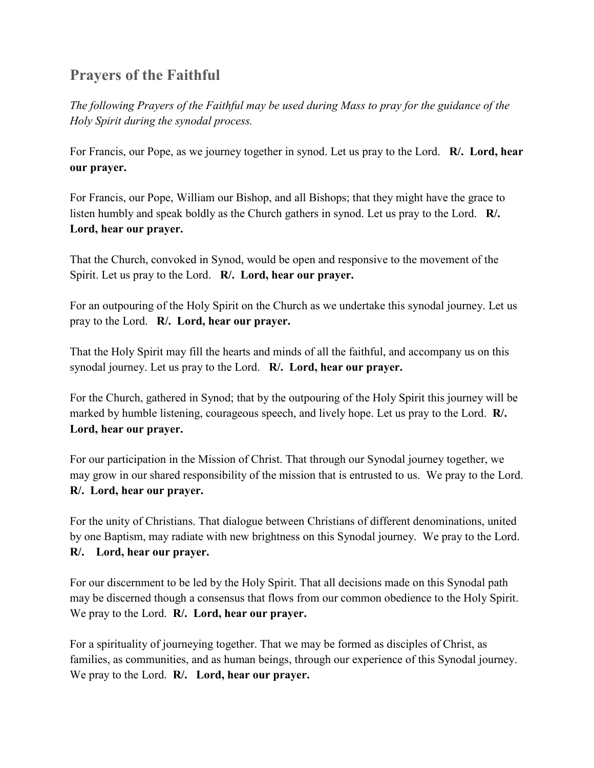# **Prayers of the Faithful**

*The following Prayers of the Faithful may be used during Mass to pray for the guidance of the Holy Spirit during the synodal process.*

For Francis, our Pope, as we journey together in synod. Let us pray to the Lord. **R/. Lord, hear our prayer.**

For Francis, our Pope, William our Bishop, and all Bishops; that they might have the grace to listen humbly and speak boldly as the Church gathers in synod. Let us pray to the Lord. **R/. Lord, hear our prayer.**

That the Church, convoked in Synod, would be open and responsive to the movement of the Spirit. Let us pray to the Lord. **R/. Lord, hear our prayer.**

For an outpouring of the Holy Spirit on the Church as we undertake this synodal journey. Let us pray to the Lord. **R/. Lord, hear our prayer.**

That the Holy Spirit may fill the hearts and minds of all the faithful, and accompany us on this synodal journey. Let us pray to the Lord. **R/. Lord, hear our prayer.**

For the Church, gathered in Synod; that by the outpouring of the Holy Spirit this journey will be marked by humble listening, courageous speech, and lively hope. Let us pray to the Lord. **R/. Lord, hear our prayer.**

For our participation in the Mission of Christ. That through our Synodal journey together, we may grow in our shared responsibility of the mission that is entrusted to us. We pray to the Lord. **R/. Lord, hear our prayer.**

For the unity of Christians. That dialogue between Christians of different denominations, united by one Baptism, may radiate with new brightness on this Synodal journey. We pray to the Lord. **R/. Lord, hear our prayer.**

For our discernment to be led by the Holy Spirit. That all decisions made on this Synodal path may be discerned though a consensus that flows from our common obedience to the Holy Spirit. We pray to the Lord. **R/. Lord, hear our prayer.**

For a spirituality of journeying together. That we may be formed as disciples of Christ, as families, as communities, and as human beings, through our experience of this Synodal journey. We pray to the Lord. **R/. Lord, hear our prayer.**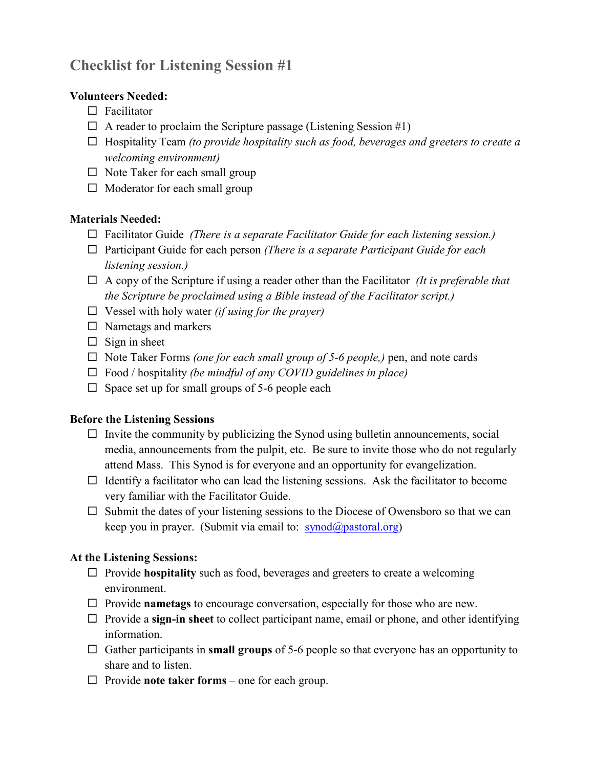# **Checklist for Listening Session #1**

#### **Volunteers Needed:**

- $\Box$  Facilitator
- $\Box$  A reader to proclaim the Scripture passage (Listening Session #1)
- Hospitality Team *(to provide hospitality such as food, beverages and greeters to create a welcoming environment)*
- $\Box$  Note Taker for each small group
- $\Box$  Moderator for each small group

#### **Materials Needed:**

- Facilitator Guide *(There is a separate Facilitator Guide for each listening session.)*
- □ Participant Guide for each person *(There is a separate Participant Guide for each listening session.)*
- A copy of the Scripture if using a reader other than the Facilitator *(It is preferable that the Scripture be proclaimed using a Bible instead of the Facilitator script.)*
- Vessel with holy water *(if using for the prayer)*
- $\Box$  Nametags and markers
- $\Box$  Sign in sheet
- Note Taker Forms *(one for each small group of 5-6 people,)* pen, and note cards
- Food / hospitality *(be mindful of any COVID guidelines in place)*
- $\square$  Space set up for small groups of 5-6 people each

#### **Before the Listening Sessions**

- $\Box$  Invite the community by publicizing the Synod using bulletin announcements, social media, announcements from the pulpit, etc. Be sure to invite those who do not regularly attend Mass. This Synod is for everyone and an opportunity for evangelization.
- $\Box$  Identify a facilitator who can lead the listening sessions. Ask the facilitator to become very familiar with the Facilitator Guide.
- $\square$  Submit the dates of your listening sessions to the Diocese of Owensboro so that we can keep you in prayer. (Submit via email to:  $\frac{\text{synod}(a)\text{pastoral.org}}{\text{synod}(a)}$

#### **At the Listening Sessions:**

- $\Box$  Provide **hospitality** such as food, beverages and greeters to create a welcoming environment.
- $\Box$  Provide **nametags** to encourage conversation, especially for those who are new.
- $\Box$  Provide a **sign-in sheet** to collect participant name, email or phone, and other identifying information.
- Gather participants in **small groups** of 5-6 people so that everyone has an opportunity to share and to listen.
- $\Box$  Provide **note taker forms** one for each group.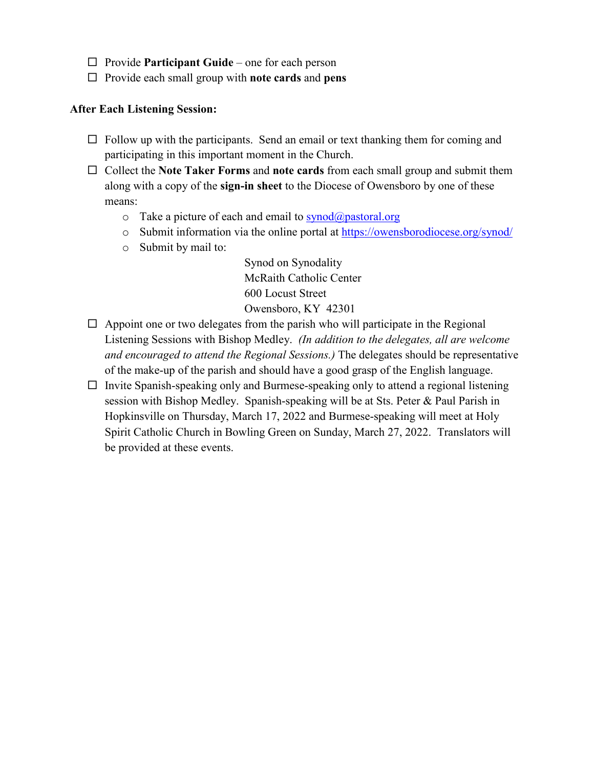- □ Provide **Participant Guide** one for each person
- Provide each small group with **note cards** and **pens**

#### **After Each Listening Session:**

- $\Box$  Follow up with the participants. Send an email or text thanking them for coming and participating in this important moment in the Church.
- Collect the **Note Taker Forms** and **note cards** from each small group and submit them along with a copy of the **sign-in sheet** to the Diocese of Owensboro by one of these means:
	- $\circ$  Take a picture of each and email to [synod@pastoral.org](mailto:synod@pastoral.org)
	- o Submit information via the online portal at<https://owensborodiocese.org/synod/>
	- o Submit by mail to:

Synod on Synodality McRaith Catholic Center 600 Locust Street Owensboro, KY 42301

- $\Box$  Appoint one or two delegates from the parish who will participate in the Regional Listening Sessions with Bishop Medley. *(In addition to the delegates, all are welcome and encouraged to attend the Regional Sessions.)* The delegates should be representative of the make-up of the parish and should have a good grasp of the English language.
- $\Box$  Invite Spanish-speaking only and Burmese-speaking only to attend a regional listening session with Bishop Medley. Spanish-speaking will be at Sts. Peter & Paul Parish in Hopkinsville on Thursday, March 17, 2022 and Burmese-speaking will meet at Holy Spirit Catholic Church in Bowling Green on Sunday, March 27, 2022. Translators will be provided at these events.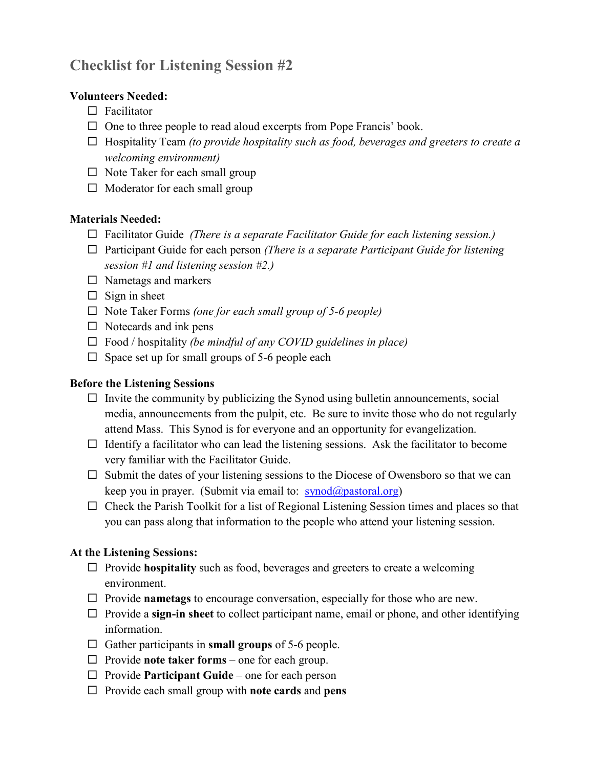# **Checklist for Listening Session #2**

#### **Volunteers Needed:**

- $\Box$  Facilitator
- $\Box$  One to three people to read aloud excerpts from Pope Francis' book.
- Hospitality Team *(to provide hospitality such as food, beverages and greeters to create a welcoming environment)*
- $\Box$  Note Taker for each small group
- $\Box$  Moderator for each small group

#### **Materials Needed:**

- Facilitator Guide *(There is a separate Facilitator Guide for each listening session.)*
- □ Participant Guide for each person *(There is a separate Participant Guide for listening session #1 and listening session #2.)*
- $\square$  Nametags and markers
- $\Box$  Sign in sheet
- Note Taker Forms *(one for each small group of 5-6 people)*
- $\Box$  Notecards and ink pens
- Food / hospitality *(be mindful of any COVID guidelines in place)*
- $\square$  Space set up for small groups of 5-6 people each

#### **Before the Listening Sessions**

- $\Box$  Invite the community by publicizing the Synod using bulletin announcements, social media, announcements from the pulpit, etc. Be sure to invite those who do not regularly attend Mass. This Synod is for everyone and an opportunity for evangelization.
- $\Box$  Identify a facilitator who can lead the listening sessions. Ask the facilitator to become very familiar with the Facilitator Guide.
- $\square$  Submit the dates of your listening sessions to the Diocese of Owensboro so that we can keep you in prayer. (Submit via email to:  $\frac{\text{synod}(a)\text{pastoral.org}}{\text{synod}(a)}$ )
- $\Box$  Check the Parish Toolkit for a list of Regional Listening Session times and places so that you can pass along that information to the people who attend your listening session.

#### **At the Listening Sessions:**

- □ Provide **hospitality** such as food, beverages and greeters to create a welcoming environment.
- Provide **nametags** to encourage conversation, especially for those who are new.
- $\Box$  Provide a **sign-in sheet** to collect participant name, email or phone, and other identifying information.
- $\Box$  Gather participants in **small groups** of 5-6 people.
- $\Box$  Provide **note taker forms** one for each group.
- □ Provide **Participant Guide** one for each person
- Provide each small group with **note cards** and **pens**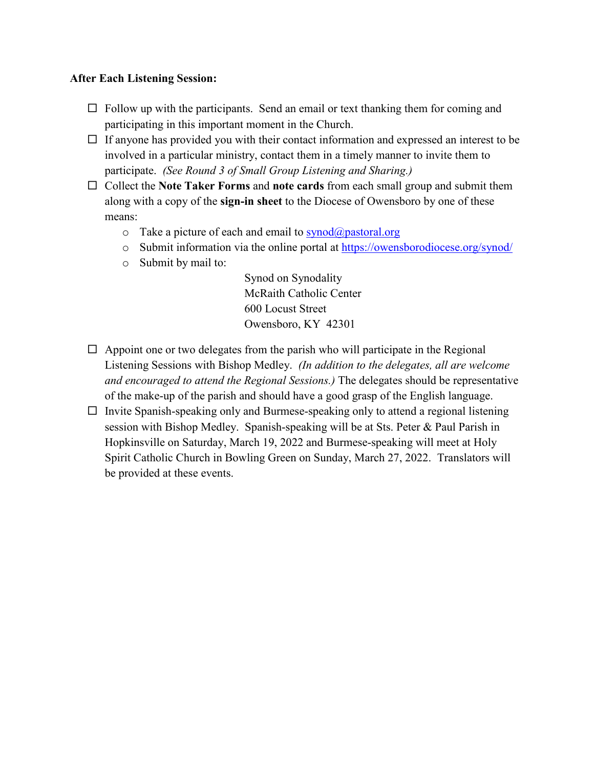#### **After Each Listening Session:**

- $\Box$  Follow up with the participants. Send an email or text thanking them for coming and participating in this important moment in the Church.
- $\Box$  If anyone has provided you with their contact information and expressed an interest to be involved in a particular ministry, contact them in a timely manner to invite them to participate. *(See Round 3 of Small Group Listening and Sharing.)*
- □ Collect the **Note Taker Forms** and **note cards** from each small group and submit them along with a copy of the **sign-in sheet** to the Diocese of Owensboro by one of these means:
	- $\circ$  Take a picture of each and email to [synod@pastoral.org](mailto:synod@pastoral.org)
	- o Submit information via the online portal at<https://owensborodiocese.org/synod/>
	- o Submit by mail to:

Synod on Synodality McRaith Catholic Center 600 Locust Street Owensboro, KY 42301

- $\Box$  Appoint one or two delegates from the parish who will participate in the Regional Listening Sessions with Bishop Medley. *(In addition to the delegates, all are welcome and encouraged to attend the Regional Sessions.)* The delegates should be representative of the make-up of the parish and should have a good grasp of the English language.
- $\Box$  Invite Spanish-speaking only and Burmese-speaking only to attend a regional listening session with Bishop Medley. Spanish-speaking will be at Sts. Peter & Paul Parish in Hopkinsville on Saturday, March 19, 2022 and Burmese-speaking will meet at Holy Spirit Catholic Church in Bowling Green on Sunday, March 27, 2022. Translators will be provided at these events.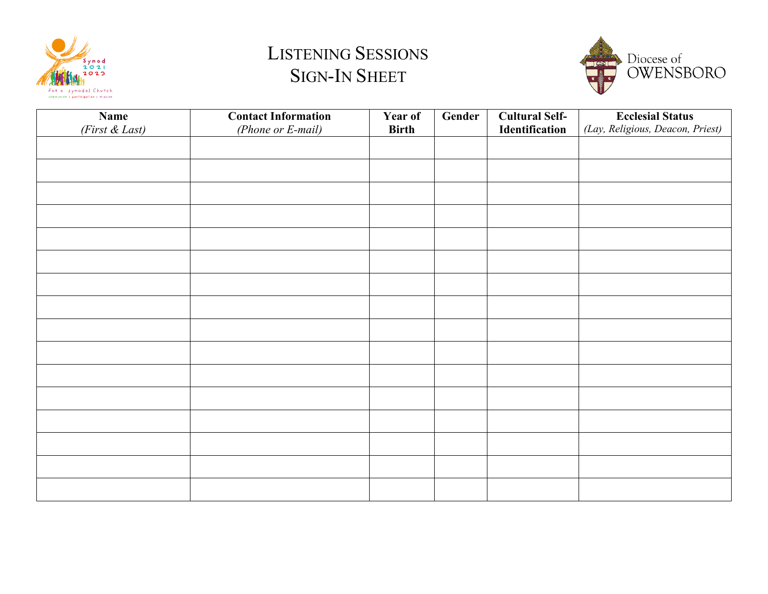

# LISTENING SESSIONS SIGN-IN SHEET



| <b>Name</b>    | <b>Contact Information</b> | Year of      | Gender | <b>Cultural Self-</b> | <b>Ecclesial Status</b>          |
|----------------|----------------------------|--------------|--------|-----------------------|----------------------------------|
| (First & Last) | (Phone or E-mail)          | <b>Birth</b> |        | Identification        | (Lay, Religious, Deacon, Priest) |
|                |                            |              |        |                       |                                  |
|                |                            |              |        |                       |                                  |
|                |                            |              |        |                       |                                  |
|                |                            |              |        |                       |                                  |
|                |                            |              |        |                       |                                  |
|                |                            |              |        |                       |                                  |
|                |                            |              |        |                       |                                  |
|                |                            |              |        |                       |                                  |
|                |                            |              |        |                       |                                  |
|                |                            |              |        |                       |                                  |
|                |                            |              |        |                       |                                  |
|                |                            |              |        |                       |                                  |
|                |                            |              |        |                       |                                  |
|                |                            |              |        |                       |                                  |
|                |                            |              |        |                       |                                  |
|                |                            |              |        |                       |                                  |